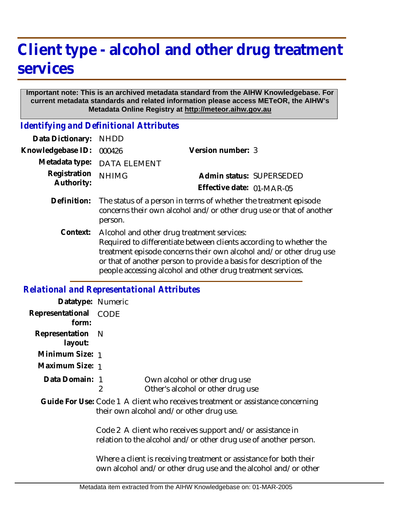## **Client type - alcohol and other drug treatment services**

## **Important note: This is an archived metadata standard from the AIHW Knowledgebase. For current metadata standards and related information please access METeOR, the AIHW's Metadata Online Registry at http://meteor.aihw.gov.au**

*Identifying and Definitional Attributes*

| Data Dictionary:           | <b>NHDD</b>                                                                                                                                                                                                                                                                                                                  |                           |  |
|----------------------------|------------------------------------------------------------------------------------------------------------------------------------------------------------------------------------------------------------------------------------------------------------------------------------------------------------------------------|---------------------------|--|
| Knowledgebase ID:          | 000426                                                                                                                                                                                                                                                                                                                       | Version number: 3         |  |
| Metadata type:             | <b>DATA ELEMENT</b>                                                                                                                                                                                                                                                                                                          |                           |  |
| Registration<br>Authority: | <b>NHIMG</b>                                                                                                                                                                                                                                                                                                                 | Admin status: SUPERSEDED  |  |
|                            |                                                                                                                                                                                                                                                                                                                              | Effective date: 01-MAR-05 |  |
| Definition:                | The status of a person in terms of whether the treatment episode<br>concerns their own alcohol and/or other drug use or that of another<br>person.                                                                                                                                                                           |                           |  |
| Context:                   | Alcohol and other drug treatment services:<br>Required to differentiate between clients according to whether the<br>treatment episode concerns their own alcohol and/or other drug use<br>or that of another person to provide a basis for description of the<br>people accessing alcohol and other drug treatment services. |                           |  |

## *Relational and Representational Attributes*

| Datatype: Numeric              |                                                                                                                            |                                                                                                                                      |
|--------------------------------|----------------------------------------------------------------------------------------------------------------------------|--------------------------------------------------------------------------------------------------------------------------------------|
| Representational CODE<br>form: |                                                                                                                            |                                                                                                                                      |
| Representation<br>layout:      | - N                                                                                                                        |                                                                                                                                      |
| Minimum Size: 1                |                                                                                                                            |                                                                                                                                      |
| Maximum Size: 1                |                                                                                                                            |                                                                                                                                      |
| Data Domain: 1                 | 2                                                                                                                          | Own alcohol or other drug use<br>Other's alcohol or other drug use                                                                   |
|                                | Guide For Use: Code 1 A client who receives treatment or assistance concerning<br>their own alcohol and/or other drug use. |                                                                                                                                      |
|                                |                                                                                                                            | Code 2 A client who receives support and/or assistance in<br>relation to the alcohol and/or other drug use of another person.        |
|                                |                                                                                                                            | Where a client is receiving treatment or assistance for both their<br>own alcohol and/or other drug use and the alcohol and/or other |